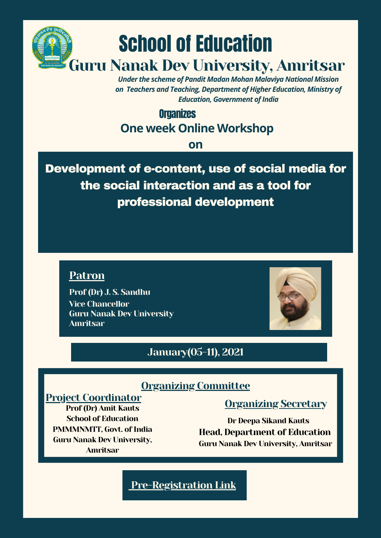

*Under the scheme of Pandit Madan Mohan Malaviya National Mission on Teachers and Teaching, Department of Higher Education, Ministry of Education, Government of India* 

# **Organizes One week Online Workshop**

#### **on**

Development of e-content, use of social media for the social interaction and as a tool for professional development





Prof (Dr) J. S. Sandhu Vice Chancellor Guru Nanak Dev University Amritsar

# January(05-11), 2021

### Organizing Committee

#### Project Coordinator

Prof (Dr) Amit Kauts School of Education PMMMNMTT, Govt. of India Guru Nanak Dev University, Amritsar

## Organizing Secretary

Dr Deepa Sikand Kauts Head, Department of Education Guru Nanak Dev University, Amritsar

# [Pre-Registration](https://forms.gle/eHBJ3Un6nMXWXjJm9) Link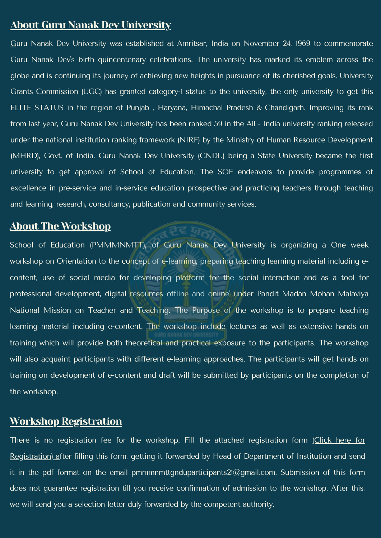### About Guru Nanak Dev University

Guru Nanak Dev University was established at Amritsar, India on November 24, 1969 to commemorate Guru Nanak Dev 's birth quincentenary celebrations. The university has marked its emblem across the globe and is continuing its journey of achieving new heights in pursuance of its cherished goals. University Grants Commission (UGC) has granted category-1 status to the university, the only university to get this ELITE STATUS in the region of Punjab , Haryana, Himachal Pradesh & Chandigarh. Improving its rank from last year, Guru Nanak Dev University has been ranked 59 in the All - India university ranking released under the national institution ranking framework (NIRF) by the Ministry of Human Resource Development (MHRD), Govt. of India. Guru Nanak Dev University (GNDU) being a State University became the first university to get approval of School of Education. The SOE endeavors to provide programmes of excellence in pre-service and in-service education prospective and practicing teachers through teaching and learning, research, consultancy, publication and community services.

School of Education (PMMMMMTT), of Guru Nanak Dev University is organizing a One week workshop on Orientation to the concept of e-learning, preparing teaching learning material including econtent, use of social media for developing platform for the social interaction and as a tool for

### About The Workshop

There is no registration fee for the workshop. Fill the attached registration form (Click here for [Registration\)](http://online.gndu.ac.in/pdf/registrationformmodified.pdf) [a](https://forms.gle/w4BboLAZ4zXNdNE57)fter filling this form, getting it forwarded by Head of Department of Institution and send it in the pdf format on the email pmmmnmttgnduparticipants $21@$ gmail.com. Submission of this form does not guarantee registration till you receive confirmation of admission to the workshop. After this, we will send you a selection letter duly forwarded by the competent authority.

professional development, digital resources offline and online' under Pandit Madan Mohan Malaviya National Mission on Teacher and Teaching. The Purpose of the workshop is to prepare teaching learning material including e-content. The workshop include lectures as well as extensive hands on training which will provide both theoretical and practical exposure to the participants. The workshop will also acquaint participants with different e-learning approaches. The participants will get hands on training on development of e-content and draft will be submitted by participants on the completion of the workshop.

### Workshop Registration